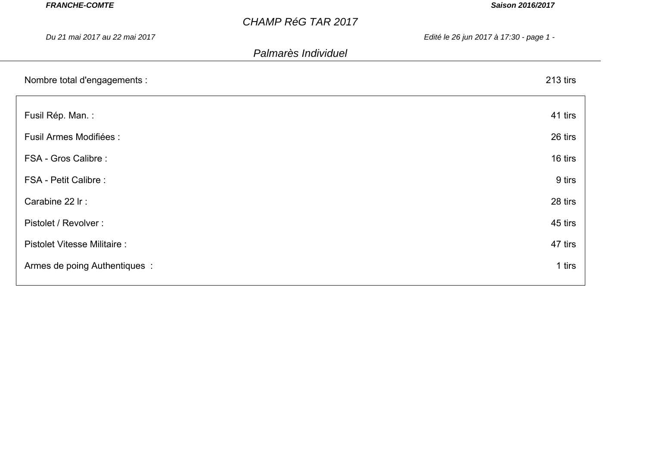| <b>FRANCHE-COMTE</b>               | Saison 2016/2017                        |  |
|------------------------------------|-----------------------------------------|--|
|                                    | <b>CHAMP RéG TAR 2017</b>               |  |
| Du 21 mai 2017 au 22 mai 2017      | Edité le 26 jun 2017 à 17:30 - page 1 - |  |
|                                    | Palmarès Individuel                     |  |
| Nombre total d'engagements :       | 213 tirs                                |  |
| Fusil Rép. Man.:                   | 41 tirs                                 |  |
| <b>Fusil Armes Modifiées:</b>      | 26 tirs                                 |  |
| FSA - Gros Calibre :               | 16 tirs                                 |  |
| <b>FSA - Petit Calibre:</b>        | 9 tirs                                  |  |
| Carabine 22 Ir:                    | 28 tirs                                 |  |
| Pistolet / Revolver :              | 45 tirs                                 |  |
| <b>Pistolet Vitesse Militaire:</b> | 47 tirs                                 |  |
| Armes de poing Authentiques :      | 1 tirs                                  |  |
|                                    |                                         |  |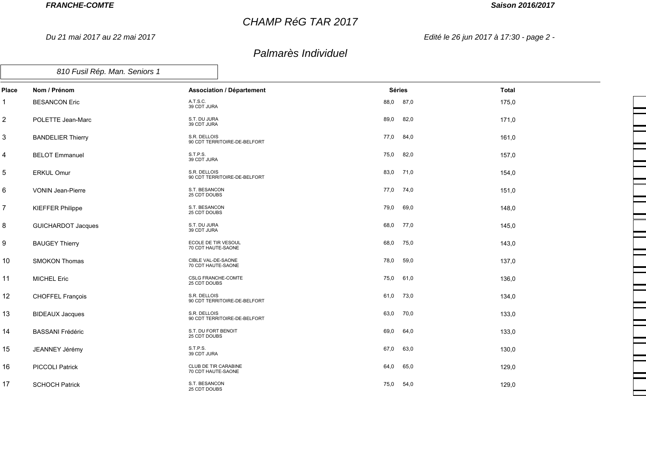*Du 21 mai 2017 au 22 mai 2017*

## *CHAMP RéG TAR 2017*

## *Saison 2016/2017*

*Edité le 26 jun 2017 à 17:30 - page 2 -*

| 810 Fusil Rép. Man. Seniors 1 |  |
|-------------------------------|--|
|-------------------------------|--|

| Place | Nom / Prénom              | <b>Association / Département</b>             | <b>Séries</b> | <b>Total</b> |
|-------|---------------------------|----------------------------------------------|---------------|--------------|
| 1     | <b>BESANCON Eric</b>      | A.T.S.C.<br>39 CDT JURA                      | 88,0 87,0     | 175,0        |
| 2     | POLETTE Jean-Marc         | S.T. DU JURA<br>39 CDT JURA                  | 89,0<br>82,0  | 171,0        |
| 3     | <b>BANDELIER Thierry</b>  | S.R. DELLOIS<br>90 CDT TERRITOIRE-DE-BELFORT | 77,0<br>84,0  | 161,0        |
| 4     | <b>BELOT Emmanuel</b>     | S.T.P.S.<br>39 CDT JURA                      | 75,0<br>82,0  | 157,0        |
| 5     | <b>ERKUL Omur</b>         | S.R. DELLOIS<br>90 CDT TERRITOIRE-DE-BELFORT | 83,0 71,0     | 154,0        |
| 6     | <b>VONIN Jean-Pierre</b>  | S.T. BESANCON<br>25 CDT DOUBS                | 77,0 74,0     | 151,0        |
| 7     | <b>KIEFFER Philippe</b>   | S.T. BESANCON<br>25 CDT DOUBS                | 79,0<br>69,0  | 148,0        |
| 8     | <b>GUICHARDOT Jacques</b> | S.T. DU JURA<br>39 CDT JURA                  | 68,0 77,0     | 145,0        |
| 9     | <b>BAUGEY Thierry</b>     | ECOLE DE TIR VESOUL<br>70 CDT HAUTE-SAONE    | 68,0<br>75,0  | 143,0        |
| 10    | <b>SMOKON Thomas</b>      | CIBLE VAL-DE-SAONE<br>70 CDT HAUTE-SAONE     | 78,0<br>59,0  | 137,0        |
| 11    | <b>MICHEL Eric</b>        | <b>CSLG FRANCHE-COMTE</b><br>25 CDT DOUBS    | 75,0<br>61,0  | 136,0        |
| 12    | CHOFFEL François          | S.R. DELLOIS<br>90 CDT TERRITOIRE-DE-BELFORT | 61,0 73,0     | 134,0        |
| 13    | <b>BIDEAUX Jacques</b>    | S.R. DELLOIS<br>90 CDT TERRITOIRE-DE-BELFORT | 63,0 70,0     | 133,0        |
| 14    | <b>BASSANI Frédéric</b>   | S.T. DU FORT BENOIT<br>25 CDT DOUBS          | 69,0<br>64,0  | 133,0        |
| 15    | JEANNEY Jérémy            | S.T.P.S.<br>39 CDT JURA                      | 67,0<br>63,0  | 130,0        |
| 16    | <b>PICCOLI Patrick</b>    | CLUB DE TIR CARABINE<br>70 CDT HAUTE-SAONE   | 64,0<br>65,0  | 129,0        |
| 17    | <b>SCHOCH Patrick</b>     | S.T. BESANCON<br>25 CDT DOUBS                | 54,0<br>75,0  | 129,0        |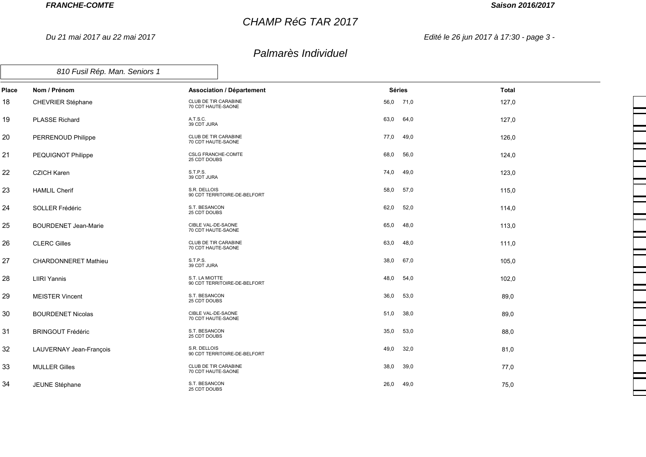*Du 21 mai 2017 au 22 mai 2017*

# *CHAMP RéG TAR 2017*

## *Saison 2016/2017*

*Edité le 26 jun 2017 à 17:30 - page 3 -*

| Place | Nom / Prénom                | <b>Association / Département</b>                  | <b>Séries</b> | <b>Total</b> |
|-------|-----------------------------|---------------------------------------------------|---------------|--------------|
| 18    | CHEVRIER Stéphane           | CLUB DE TIR CARABINE<br>70 CDT HAUTE-SAONE        | 56,0 71,0     | 127,0        |
| 19    | <b>PLASSE Richard</b>       | A.T.S.C.<br>39 CDT JURA                           | 63,0<br>64,0  | 127,0        |
| 20    | PERRENOUD Philippe          | CLUB DE TIR CARABINE<br>70 CDT HAUTE-SAONE        | 77,0<br>49,0  | 126,0        |
| 21    | PEQUIGNOT Philippe          | <b>CSLG FRANCHE-COMTE</b><br>25 CDT DOUBS         | 68,0<br>56,0  | 124,0        |
| 22    | <b>CZICH Karen</b>          | S.T.P.S.<br>39 CDT JURA                           | 74,0<br>49,0  | 123,0        |
| 23    | <b>HAMLIL Cherif</b>        | S.R. DELLOIS<br>90 CDT TERRITOIRE-DE-BELFORT      | 58,0<br>57,0  | 115,0        |
| 24    | SOLLER Frédéric             | S.T. BESANCON<br>25 CDT DOUBS                     | 62,0<br>52,0  | 114,0        |
| 25    | <b>BOURDENET Jean-Marie</b> | CIBLE VAL-DE-SAONE<br>70 CDT HAUTE-SAONE          | 65,0<br>48,0  | 113,0        |
| 26    | <b>CLERC Gilles</b>         | <b>CLUB DE TIR CARABINE</b><br>70 CDT HAUTE-SAONE | 63,0<br>48,0  | 111,0        |
| 27    | <b>CHARDONNERET Mathieu</b> | S.T.P.S.<br>39 CDT JURA                           | 38,0<br>67,0  | 105,0        |
| 28    | <b>LIIRI Yannis</b>         | S.T. LA MIOTTE<br>90 CDT TERRITOIRE-DE-BELFORT    | 48,0<br>54,0  | 102,0        |
| 29    | <b>MEISTER Vincent</b>      | S.T. BESANCON<br>25 CDT DOUBS                     | 36,0<br>53,0  | 89,0         |
| 30    | <b>BOURDENET Nicolas</b>    | CIBLE VAL-DE-SAONE<br>70 CDT HAUTE-SAONE          | 51,0<br>38,0  | 89,0         |
| 31    | <b>BRINGOUT Frédéric</b>    | S.T. BESANCON<br>25 CDT DOUBS                     | 35,0<br>53,0  | 88,0         |
| 32    | LAUVERNAY Jean-François     | S.R. DELLOIS<br>90 CDT TERRITOIRE-DE-BELFORT      | 49,0<br>32,0  | 81,0         |
| 33    | <b>MULLER Gilles</b>        | CLUB DE TIR CARABINE<br>70 CDT HAUTE-SAONE        | 38,0<br>39,0  | 77,0         |
| 34    | JEUNE Stéphane              | S.T. BESANCON<br>25 CDT DOUBS                     | 26,0<br>49,0  | 75,0         |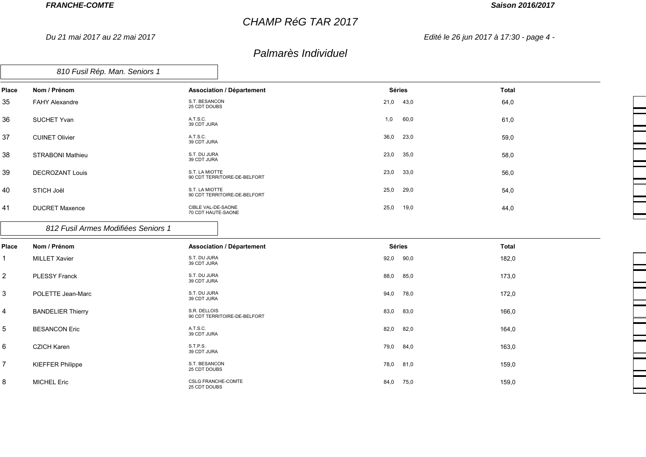*Du 21 mai 2017 au 22 mai 2017*

# *CHAMP RéG TAR 2017*

#### *Saison 2016/2017*

*Edité le 26 jun 2017 à 17:30 - page 4 -*

## *Palmarès Individuel*

| 810 Fusil Rép. Man. Seniors 1 |  |
|-------------------------------|--|
|-------------------------------|--|

| Place | Nom / Prénom            | <b>Association / Département</b>               | Séries       | Total |
|-------|-------------------------|------------------------------------------------|--------------|-------|
| 35    | <b>FAHY Alexandre</b>   | S.T. BESANCON<br>25 CDT DOUBS                  | 21,0 43,0    | 64,0  |
| 36    | <b>SUCHET Yvan</b>      | A.T.S.C.<br>39 CDT JURA                        | 60,0<br>1,0  | 61,0  |
| 37    | <b>CUINET Olivier</b>   | A.T.S.C.<br>39 CDT JURA                        | 36,0 23,0    | 59,0  |
| 38    | <b>STRABONI Mathieu</b> | S.T. DU JURA<br>39 CDT JURA                    | 23,0<br>35,0 | 58,0  |
| 39    | <b>DECROZANT Louis</b>  | S.T. LA MIOTTE<br>90 CDT TERRITOIRE-DE-BELFORT | 23,0<br>33,0 | 56,0  |
| 40    | STICH Joël              | S.T. LA MIOTTE<br>90 CDT TERRITOIRE-DE-BELFORT | 25,0<br>29,0 | 54,0  |
| 41    | <b>DUCRET Maxence</b>   | CIBLE VAL-DE-SAONE<br>70 CDT HAUTE-SAONE       | 25,0<br>19,0 | 44,0  |

#### *812 Fusil Armes Modifiées Seniors 1*

| <b>Place</b>    | Nom / Prénom             | <b>Association / Département</b>             | <b>Séries</b> | Total |
|-----------------|--------------------------|----------------------------------------------|---------------|-------|
|                 | <b>MILLET Xavier</b>     | S.T. DU JURA<br>39 CDT JURA                  | 92,0<br>90,0  | 182,0 |
| 2               | <b>PLESSY Franck</b>     | S.T. DU JURA<br>39 CDT JURA                  | 88,0<br>85,0  | 173,0 |
| $\mathbf{3}$    | POLETTE Jean-Marc        | S.T. DU JURA<br>39 CDT JURA                  | 94,0<br>78,0  | 172,0 |
| $\overline{4}$  | <b>BANDELIER Thierry</b> | S.R. DELLOIS<br>90 CDT TERRITOIRE-DE-BELFORT | 83,0<br>83,0  | 166,0 |
| $5\phantom{.0}$ | <b>BESANCON Eric</b>     | A.T.S.C.<br>39 CDT JURA                      | 82,0<br>82,0  | 164,0 |
| 6               | <b>CZICH Karen</b>       | S.T.P.S.<br>39 CDT JURA                      | 79,0<br>84,0  | 163,0 |
| $\overline{7}$  | <b>KIEFFER Philippe</b>  | S.T. BESANCON<br>25 CDT DOUBS                | 78,0<br>81,0  | 159,0 |
| 8               | <b>MICHEL Eric</b>       | <b>CSLG FRANCHE-COMTE</b><br>25 CDT DOUBS    | 84,0<br>75,0  | 159,0 |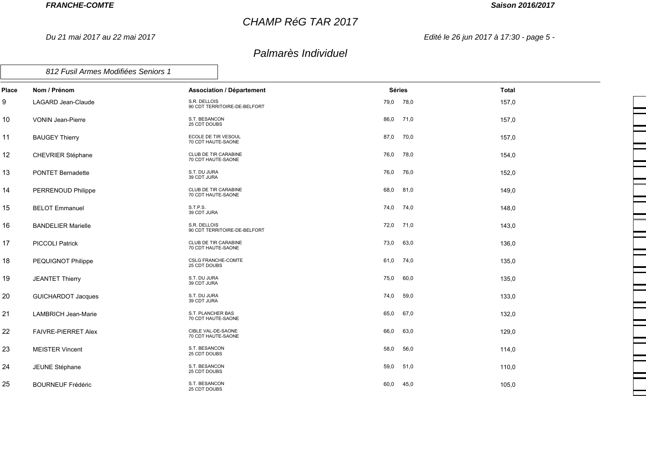*Du 21 mai 2017 au 22 mai 2017*

# *CHAMP RéG TAR 2017*

## *Saison 2016/2017*

*Edité le 26 jun 2017 à 17:30 - page 5 -*

| 812 Fusil Armes Modifiées Seniors 1 |  |
|-------------------------------------|--|
|                                     |  |

| Place  | Nom / Prénom               | <b>Association / Département</b>             | <b>Séries</b> |      | <b>Total</b> |
|--------|----------------------------|----------------------------------------------|---------------|------|--------------|
| 9      | LAGARD Jean-Claude         | S.R. DELLOIS<br>90 CDT TERRITOIRE-DE-BELFORT | 79,0          | 78,0 | 157,0        |
| 10     | <b>VONIN Jean-Pierre</b>   | S.T. BESANCON<br>25 CDT DOUBS                | 86,0          | 71,0 | 157,0        |
| 11     | <b>BAUGEY Thierry</b>      | ECOLE DE TIR VESOUL<br>70 CDT HAUTE-SAONE    | 87,0          | 70,0 | 157,0        |
| 12     | CHEVRIER Stéphane          | CLUB DE TIR CARABINE<br>70 CDT HAUTE-SAONE   | 76,0          | 78,0 | 154,0        |
| 13     | PONTET Bernadette          | S.T. DU JURA<br>39 CDT JURA                  | 76,0          | 76,0 | 152,0        |
| 14     | PERRENOUD Philippe         | CLUB DE TIR CARABINE<br>70 CDT HAUTE-SAONE   | 68,0          | 81,0 | 149,0        |
| 15     | <b>BELOT Emmanuel</b>      | S.T.P.S.<br>39 CDT JURA                      | 74,0          | 74,0 | 148,0        |
| 16     | <b>BANDELIER Marielle</b>  | S.R. DELLOIS<br>90 CDT TERRITOIRE-DE-BELFORT | 72,0          | 71,0 | 143,0        |
| 17     | <b>PICCOLI Patrick</b>     | CLUB DE TIR CARABINE<br>70 CDT HAUTE-SAONE   | 73,0          | 63,0 | 136,0        |
| 18     | PEQUIGNOT Philippe         | <b>CSLG FRANCHE-COMTE</b><br>25 CDT DOUBS    | 61,0          | 74,0 | 135,0        |
| 19     | <b>JEANTET Thierry</b>     | S.T. DU JURA<br>39 CDT JURA                  | 75,0          | 60,0 | 135,0        |
| $20\,$ | <b>GUICHARDOT Jacques</b>  | S.T. DU JURA<br>39 CDT JURA                  | 74,0          | 59,0 | 133,0        |
| 21     | <b>LAMBRICH Jean-Marie</b> | S.T. PLANCHER BAS<br>70 CDT HAUTE-SAONE      | 65,0          | 67,0 | 132,0        |
| 22     | FAIVRE-PIERRET Alex        | CIBLE VAL-DE-SAONE<br>70 CDT HAUTE-SAONE     | 66,0          | 63,0 | 129,0        |
| 23     | <b>MEISTER Vincent</b>     | S.T. BESANCON<br>25 CDT DOUBS                | 58,0          | 56,0 | 114,0        |
| 24     | JEUNE Stéphane             | S.T. BESANCON<br>25 CDT DOUBS                | 59,0          | 51,0 | 110,0        |
| 25     | <b>BOURNEUF Frédéric</b>   | S.T. BESANCON<br>25 CDT DOUBS                | 60,0          | 45,0 | 105,0        |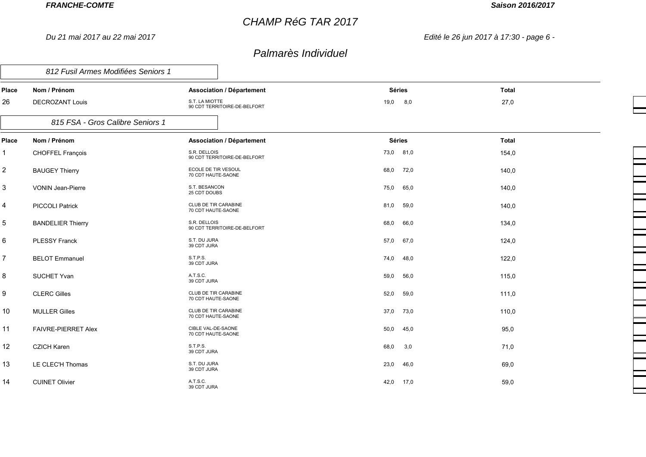*Du 21 mai 2017 au 22 mai 2017*

## *CHAMP RéG TAR 2017*

## *Saison 2016/2017*

*Edité le 26 jun 2017 à 17:30 - page 6 -*

## *Palmarès Individuel*

┑

|                | 812 Fusil Armes Modifiées Seniors 1 |                                                   |               |      |              |
|----------------|-------------------------------------|---------------------------------------------------|---------------|------|--------------|
| Place          | Nom / Prénom                        | <b>Association / Département</b>                  | <b>Séries</b> |      | <b>Total</b> |
| 26             | <b>DECROZANT Louis</b>              | S.T. LA MIOTTE<br>90 CDT TERRITOIRE-DE-BELFORT    | 19,0          | 8,0  | 27,0         |
|                | 815 FSA - Gros Calibre Seniors 1    |                                                   |               |      |              |
| Place          | Nom / Prénom                        | <b>Association / Département</b>                  | <b>Séries</b> |      | <b>Total</b> |
| 1              | CHOFFEL François                    | S.R. DELLOIS<br>90 CDT TERRITOIRE-DE-BELFORT      | 73,0 81,0     |      | 154,0        |
| $\overline{c}$ | <b>BAUGEY Thierry</b>               | ECOLE DE TIR VESOUL<br>70 CDT HAUTE-SAONE         | 68,0          | 72,0 | 140,0        |
| 3              | <b>VONIN Jean-Pierre</b>            | S.T. BESANCON<br>25 CDT DOUBS                     | 75,0          | 65,0 | 140,0        |
| 4              | <b>PICCOLI Patrick</b>              | CLUB DE TIR CARABINE<br>70 CDT HAUTE-SAONE        | 81,0          | 59,0 | 140,0        |
| 5              | <b>BANDELIER Thierry</b>            | S.R. DELLOIS<br>90 CDT TERRITOIRE-DE-BELFORT      | 68,0          | 66,0 | 134,0        |
| 6              | <b>PLESSY Franck</b>                | S.T. DU JURA<br>39 CDT JURA                       | 57,0          | 67,0 | 124,0        |
| $\overline{7}$ | <b>BELOT Emmanuel</b>               | S.T.P.S.<br>39 CDT JURA                           | 74,0          | 48,0 | 122,0        |
| 8              | SUCHET Yvan                         | A.T.S.C.<br>39 CDT JURA                           | 59,0          | 56,0 | 115,0        |
| 9              | <b>CLERC Gilles</b>                 | CLUB DE TIR CARABINE<br>70 CDT HAUTE-SAONE        | 52,0          | 59,0 | 111,0        |
| 10             | <b>MULLER Gilles</b>                | <b>CLUB DE TIR CARABINE</b><br>70 CDT HAUTE-SAONE | 37,0          | 73,0 | 110,0        |
| 11             | <b>FAIVRE-PIERRET Alex</b>          | CIBLE VAL-DE-SAONE<br>70 CDT HAUTE-SAONE          | 50,0          | 45,0 | 95,0         |
| 12             | <b>CZICH Karen</b>                  | S.T.P.S.<br>39 CDT JURA                           | 68,0          | 3,0  | 71,0         |
| 13             | LE CLEC'H Thomas                    | S.T. DU JURA<br>39 CDT JURA                       | 23,0          | 46,0 | 69,0         |
| 14             | <b>CUINET Olivier</b>               | A.T.S.C.<br>39 CDT JURA                           | 42,0          | 17,0 | 59,0         |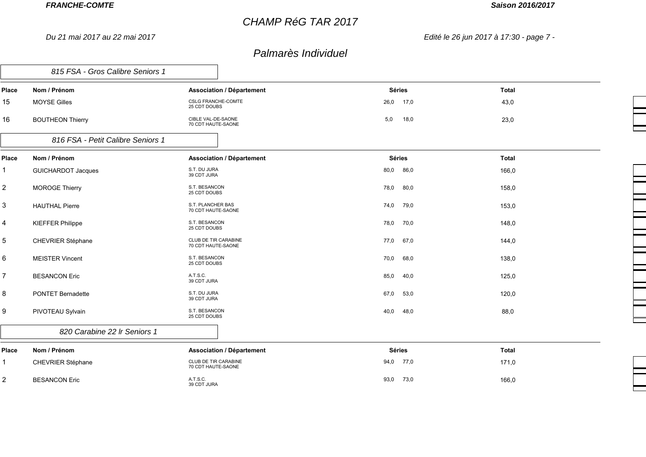*Du 21 mai 2017 au 22 mai 2017*

## *CHAMP RéG TAR 2017*

## *Saison 2016/2017*

 $\equiv$ 

*Edité le 26 jun 2017 à 17:30 - page 7 -*

|                  | 815 FSA - Gros Calibre Seniors 1  |                                            |               |              |  |
|------------------|-----------------------------------|--------------------------------------------|---------------|--------------|--|
| Place            | Nom / Prénom                      | <b>Association / Département</b>           | <b>Séries</b> | <b>Total</b> |  |
| 15               | <b>MOYSE Gilles</b>               | <b>CSLG FRANCHE-COMTE</b><br>25 CDT DOUBS  | 26,0 17,0     | 43,0         |  |
| 16               | <b>BOUTHEON Thierry</b>           | CIBLE VAL-DE-SAONE<br>70 CDT HAUTE-SAONE   | 5,0<br>18,0   | 23,0         |  |
|                  | 816 FSA - Petit Calibre Seniors 1 |                                            |               |              |  |
| Place            | Nom / Prénom                      | <b>Association / Département</b>           | <b>Séries</b> | <b>Total</b> |  |
| $\mathbf{1}$     | <b>GUICHARDOT Jacques</b>         | S.T. DU JURA<br>39 CDT JURA                | 86,0<br>0.08  | 166,0        |  |
| $\overline{2}$   | <b>MOROGE Thierry</b>             | S.T. BESANCON<br>25 CDT DOUBS              | 80,0<br>78,0  | 158,0        |  |
| 3                | <b>HAUTHAL Pierre</b>             | S.T. PLANCHER BAS<br>70 CDT HAUTE-SAONE    | 74,0<br>79,0  | 153,0        |  |
| $\overline{4}$   | <b>KIEFFER Philippe</b>           | S.T. BESANCON<br>25 CDT DOUBS              | 78,0<br>70,0  | 148,0        |  |
| 5                | CHEVRIER Stéphane                 | CLUB DE TIR CARABINE<br>70 CDT HAUTE-SAONE | 77,0<br>67,0  | 144,0        |  |
| 6                | <b>MEISTER Vincent</b>            | S.T. BESANCON<br>25 CDT DOUBS              | 70,0<br>68,0  | 138,0        |  |
| $\boldsymbol{7}$ | <b>BESANCON Eric</b>              | A.T.S.C.<br>39 CDT JURA                    | 85,0<br>40,0  | 125,0        |  |
| 8                | <b>PONTET Bernadette</b>          | S.T. DU JURA<br>39 CDT JURA                | 53,0<br>67,0  | 120,0        |  |
| 9                | PIVOTEAU Sylvain                  | S.T. BESANCON<br>25 CDT DOUBS              | 40,0<br>48,0  | 88,0         |  |
|                  | 820 Carabine 22 Ir Seniors 1      |                                            |               |              |  |
| Place            | Nom / Prénom                      | <b>Association / Département</b>           | <b>Séries</b> | <b>Total</b> |  |
| $\mathbf{1}$     | <b>CHEVRIER Stéphane</b>          | CLUB DE TIR CARABINE<br>70 CDT HAUTE-SAONE | 94,0 77,0     | 171,0        |  |
| $\overline{2}$   | <b>BESANCON Eric</b>              | A.T.S.C.<br>39 CDT JURA                    | 73,0<br>93,0  | 166,0        |  |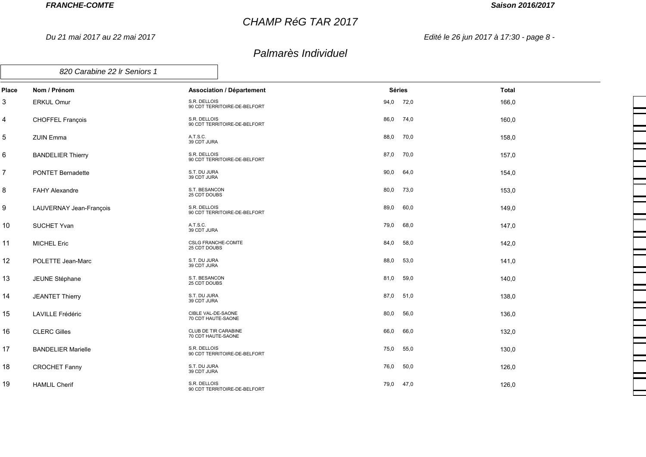*Du 21 mai 2017 au 22 mai 2017*

# *CHAMP RéG TAR 2017*

## *Saison 2016/2017*

*Edité le 26 jun 2017 à 17:30 - page 8 -*

|                | 820 Carabine 22 Ir Seniors 1 |                                              |               |              |  |
|----------------|------------------------------|----------------------------------------------|---------------|--------------|--|
| <b>Place</b>   | Nom / Prénom                 | <b>Association / Département</b>             | <b>Séries</b> | <b>Total</b> |  |
| 3              | <b>ERKUL Omur</b>            | S.R. DELLOIS<br>90 CDT TERRITOIRE-DE-BELFORT | 94,0<br>72,0  | 166,0        |  |
| 4              | CHOFFEL François             | S.R. DELLOIS<br>90 CDT TERRITOIRE-DE-BELFORT | 86,0<br>74,0  | 160,0        |  |
| $\mathbf 5$    | <b>ZUIN Emma</b>             | A.T.S.C.<br>39 CDT JURA                      | 70,0<br>88,0  | 158,0        |  |
| $\,6\,$        | <b>BANDELIER Thierry</b>     | S.R. DELLOIS<br>90 CDT TERRITOIRE-DE-BELFORT | 87,0<br>70,0  | 157,0        |  |
| $\overline{7}$ | <b>PONTET Bernadette</b>     | S.T. DU JURA<br>39 CDT JURA                  | 90,0<br>64,0  | 154,0        |  |
| 8              | FAHY Alexandre               | S.T. BESANCON<br>25 CDT DOUBS                | 80,0<br>73,0  | 153,0        |  |
| 9              | LAUVERNAY Jean-François      | S.R. DELLOIS<br>90 CDT TERRITOIRE-DE-BELFORT | 60,0<br>89,0  | 149,0        |  |
| 10             | <b>SUCHET Yvan</b>           | A.T.S.C.<br>39 CDT JURA                      | 79,0<br>68,0  | 147,0        |  |
| 11             | <b>MICHEL Eric</b>           | <b>CSLG FRANCHE-COMTE</b><br>25 CDT DOUBS    | 84,0<br>58,0  | 142,0        |  |
| 12             | POLETTE Jean-Marc            | S.T. DU JURA<br>39 CDT JURA                  | 53,0<br>88,0  | 141,0        |  |
| 13             | JEUNE Stéphane               | S.T. BESANCON<br>25 CDT DOUBS                | 59,0<br>81,0  | 140,0        |  |
| 14             | <b>JEANTET Thierry</b>       | S.T. DU JURA<br>39 CDT JURA                  | 51,0<br>87,0  | 138,0        |  |
| 15             | LAVILLE Frédéric             | CIBLE VAL-DE-SAONE<br>70 CDT HAUTE-SAONE     | 80,0<br>56,0  | 136,0        |  |
| 16             | <b>CLERC Gilles</b>          | CLUB DE TIR CARABINE<br>70 CDT HAUTE-SAONE   | 66,0<br>66,0  | 132,0        |  |
| 17             | <b>BANDELIER Marielle</b>    | S.R. DELLOIS<br>90 CDT TERRITOIRE-DE-BELFORT | 55,0<br>75,0  | 130,0        |  |
| 18             | <b>CROCHET Fanny</b>         | S.T. DU JURA<br>39 CDT JURA                  | 76,0<br>50,0  | 126,0        |  |
| 19             | <b>HAMLIL Cherif</b>         | S.R. DELLOIS<br>90 CDT TERRITOIRE-DE-BELFORT | 79,0<br>47,0  | 126,0        |  |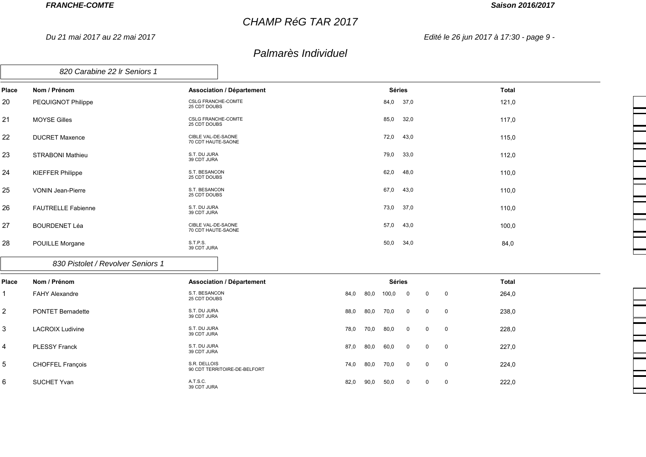*Du 21 mai 2017 au 22 mai 2017*

# *CHAMP RéG TAR 2017*

#### *Saison 2016/2017*

*Edité le 26 jun 2017 à 17:30 - page 9 -*

## *Palmarès Individuel*

| Place | Nom / Prénom              | <b>Association / Département</b>          | Séries       | <b>Total</b> |
|-------|---------------------------|-------------------------------------------|--------------|--------------|
| 20    | PEQUIGNOT Philippe        | <b>CSLG FRANCHE-COMTE</b><br>25 CDT DOUBS | 84,0<br>37,0 | 121,0        |
| 21    | <b>MOYSE Gilles</b>       | <b>CSLG FRANCHE-COMTE</b><br>25 CDT DOUBS | 85,0<br>32,0 | 117,0        |
| 22    | <b>DUCRET Maxence</b>     | CIBLE VAL-DE-SAONE<br>70 CDT HAUTE-SAONE  | 72,0<br>43,0 | 115,0        |
| 23    | <b>STRABONI Mathieu</b>   | S.T. DU JURA<br>39 CDT JURA               | 79,0<br>33,0 | 112,0        |
| 24    | <b>KIEFFER Philippe</b>   | S.T. BESANCON<br>25 CDT DOUBS             | 62,0<br>48,0 | 110,0        |
| 25    | <b>VONIN Jean-Pierre</b>  | S.T. BESANCON<br>25 CDT DOUBS             | 67,0<br>43,0 | 110,0        |
| 26    | <b>FAUTRELLE Fabienne</b> | S.T. DU JURA<br>39 CDT JURA               | 73,0<br>37,0 | 110,0        |
| 27    | <b>BOURDENET Léa</b>      | CIBLE VAL-DE-SAONE<br>70 CDT HAUTE-SAONE  | 57,0<br>43,0 | 100,0        |
| 28    | POUILLE Morgane           | S.T.P.S.<br>39 CDT JURA                   | 50,0<br>34,0 | 84,0         |

*830 Pistolet / Revolver Seniors 1*

| <b>Place</b>     | Nom / Prénom             | <b>Association / Département</b>             |      |      | <b>Séries</b> |                |                                           |                | <b>Total</b> |
|------------------|--------------------------|----------------------------------------------|------|------|---------------|----------------|-------------------------------------------|----------------|--------------|
| $\mathbf 1$      | <b>FAHY Alexandre</b>    | S.T. BESANCON<br>25 CDT DOUBS                | 84,0 | 80,0 | 100,0         | $\mathbf{0}$   | $\mathbf 0$                               | $\overline{0}$ | 264,0        |
| $\boldsymbol{2}$ | <b>PONTET Bernadette</b> | S.T. DU JURA<br>39 CDT JURA                  | 88,0 | 80,0 | 70,0          | $\mathbf{0}$   | $\mathbf 0$                               | $\overline{0}$ | 238,0        |
| 3                | <b>LACROIX Ludivine</b>  | S.T. DU JURA<br>39 CDT JURA                  | 78,0 | 70,0 | 80,0          | $\Omega$       | $\mathbf 0$                               | $\overline{0}$ | 228,0        |
| $\overline{4}$   | <b>PLESSY Franck</b>     | S.T. DU JURA<br>39 CDT JURA                  | 87,0 | 80,0 | 60,0          | $\overline{0}$ | $\overline{0}$<br>$\overline{\mathbf{0}}$ |                | 227,0        |
| $5\overline{5}$  | <b>CHOFFEL François</b>  | S.R. DELLOIS<br>90 CDT TERRITOIRE-DE-BELFORT | 74,0 | 80,0 | 70,0          | $\Omega$       | $\mathbf 0$                               | $\overline{0}$ | 224,0        |
| 6                | <b>SUCHET Yvan</b>       | A.T.S.C.<br>39 CDT JURA                      | 82,0 | 90,0 | 50,0          | $\mathbf{0}$   | $\mathbf 0$                               | $\mathbf 0$    | 222,0        |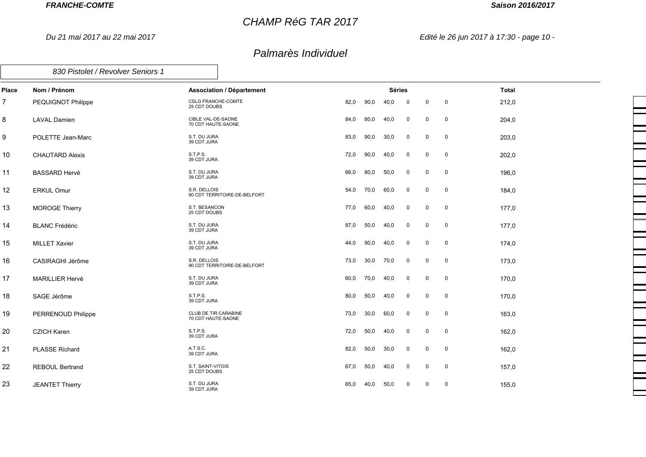*Du 21 mai 2017 au 22 mai 2017*

*830 Pistolet / Revolver Seniors 1*

## *CHAMP RéG TAR 2017*

#### *Saison 2016/2017*

*Edité le 26 jun 2017 à 17:30 - page 10 -*

| Place          | Nom / Prénom           | <b>Association / Département</b>                  |      |      | <b>Séries</b> |             |             |             | <b>Total</b> |
|----------------|------------------------|---------------------------------------------------|------|------|---------------|-------------|-------------|-------------|--------------|
| $\overline{7}$ | PEQUIGNOT Philippe     | <b>CSLG FRANCHE-COMTE</b><br>25 CDT DOUBS         | 82,0 | 90,0 | 40,0          | $\mathbf 0$ | $\mathbf 0$ | $\mathbf 0$ | 212,0        |
| 8              | <b>LAVAL Damien</b>    | CIBLE VAL-DE-SAONE<br>70 CDT HAUTE-SAONE          | 84,0 | 80,0 | 40,0          | $\mathbf 0$ | 0           | $\mathbf 0$ | 204,0        |
| 9              | POLETTE Jean-Marc      | S.T. DU JURA<br>39 CDT JURA                       | 83,0 | 90,0 | 30,0          | $\mathbf 0$ | $\mathbf 0$ | $\mathbf 0$ | 203,0        |
| 10             | <b>CHAUTARD Alexis</b> | S.T.P.S.<br>39 CDT JURA                           | 72,0 | 90,0 | 40,0          | $\mathbf 0$ | $\mathbf 0$ | $\mathbf 0$ | 202,0        |
| 11             | <b>BASSARD Hervé</b>   | S.T. DU JURA<br>39 CDT JURA                       | 66,0 | 80,0 | 50,0          | $\mathbf 0$ | $\mathbf 0$ | 0           | 196,0        |
| 12             | <b>ERKUL Omur</b>      | S.R. DELLOIS<br>90 CDT TERRITOIRE-DE-BELFORT      | 54,0 | 70,0 | 60,0          | $\mathbf 0$ | $\mathbf 0$ | $\mathbf 0$ | 184,0        |
| 13             | <b>MOROGE Thierry</b>  | S.T. BESANCON<br>25 CDT DOUBS                     | 77,0 | 60,0 | 40,0          | $\mathbf 0$ | 0           | $\mathbf 0$ | 177,0        |
| 14             | <b>BLANC Frédéric</b>  | S.T. DU JURA<br>39 CDT JURA                       | 87,0 | 50,0 | 40,0          | $\mathsf 0$ | $\mathsf 0$ | $\pmb{0}$   | 177,0        |
| 15             | <b>MILLET Xavier</b>   | S.T. DU JURA<br>39 CDT JURA                       | 44,0 | 90,0 | 40,0          | $\mathbf 0$ | 0           | $\mathbf 0$ | 174,0        |
| 16             | CASIRAGHI Jérôme       | S.R. DELLOIS<br>90 CDT TERRITOIRE-DE-BELFORT      | 73,0 | 30,0 | 70,0          | $\mathbf 0$ | 0           | $\mathbf 0$ | 173,0        |
| 17             | <b>MARILLIER Hervé</b> | S.T. DU JURA<br>39 CDT JURA                       | 60,0 | 70,0 | 40,0          | $\mathbf 0$ | 0           | 0           | 170,0        |
| 18             | SAGE Jérôme            | S.T.P.S.<br>39 CDT JURA                           | 80,0 | 50,0 | 40,0          | $\mathbf 0$ | 0           | 0           | 170,0        |
| 19             | PERRENOUD Philippe     | <b>CLUB DE TIR CARABINE</b><br>70 CDT HAUTE-SAONE | 73,0 | 30,0 | 60,0          | 0           | 0           | 0           | 163,0        |
| 20             | <b>CZICH Karen</b>     | S.T.P.S.<br>39 CDT JURA                           | 72,0 | 50,0 | 40,0          | $\mathbf 0$ | $\mathbf 0$ | $\mathbf 0$ | 162,0        |
| 21             | <b>PLASSE Richard</b>  | A.T.S.C.<br>39 CDT JURA                           | 82,0 | 50,0 | 30,0          | $\mathbf 0$ | 0           | 0           | 162,0        |
| 22             | <b>REBOUL Bertrand</b> | S.T. SAINT-VITOIS<br>25 CDT DOUBS                 | 67,0 | 50,0 | 40,0          | $\mathbf 0$ | 0           | 0           | 157,0        |
| 23             | <b>JEANTET Thierry</b> | S.T. DU JURA<br>39 CDT JURA                       | 65,0 | 40,0 | 50,0          | $\mathbf 0$ | 0           | $\mathbf 0$ | 155,0        |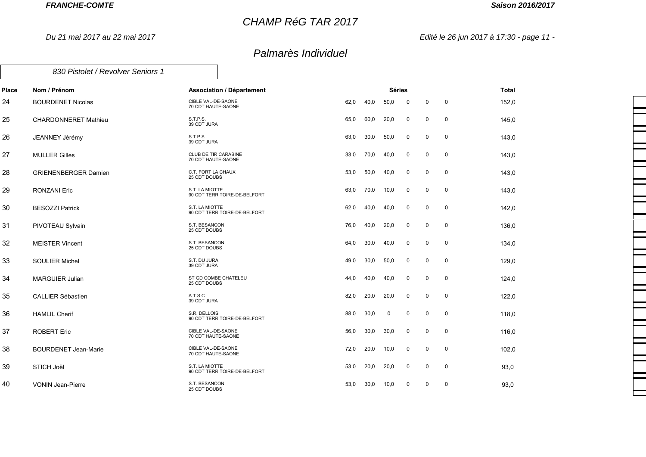*Du 21 mai 2017 au 22 mai 2017*

## *CHAMP RéG TAR 2017*

#### *Saison 2016/2017*

*Edité le 26 jun 2017 à 17:30 - page 11 -*

| 830 Pistolet / Revolver Seniors 1 |  |
|-----------------------------------|--|
|                                   |  |

| <b>Place</b> | Nom / Prénom                | <b>Association / Département</b>               |      |      | <b>Séries</b> |             |             |             | <b>Total</b> |
|--------------|-----------------------------|------------------------------------------------|------|------|---------------|-------------|-------------|-------------|--------------|
| 24           | <b>BOURDENET Nicolas</b>    | CIBLE VAL-DE-SAONE<br>70 CDT HAUTE-SAONE       | 62,0 | 40,0 | 50,0          | $\mathbf 0$ | $\mathbf 0$ | $\mathbf 0$ | 152,0        |
| 25           | <b>CHARDONNERET Mathieu</b> | S.T.P.S.<br>39 CDT JURA                        | 65,0 | 60,0 | 20,0          | $\mathbf 0$ | $\mathbf 0$ | $\mathbf 0$ | 145,0        |
| 26           | JEANNEY Jérémy              | S.T.P.S.<br>39 CDT JURA                        | 63,0 | 30,0 | 50,0          | $\mathbf 0$ | $\mathbf 0$ | $\mathbf 0$ | 143,0        |
| 27           | <b>MULLER Gilles</b>        | CLUB DE TIR CARABINE<br>70 CDT HAUTE-SAONE     | 33,0 | 70,0 | 40,0          | 0           | 0           | $\mathbf 0$ | 143,0        |
| 28           | <b>GRIENENBERGER Damien</b> | C.T. FORT LA CHAUX<br>25 CDT DOUBS             | 53,0 | 50,0 | 40,0          | 0           | 0           | $\mathbf 0$ | 143,0        |
| 29           | <b>RONZANI Eric</b>         | S.T. LA MIOTTE<br>90 CDT TERRITOIRE-DE-BELFORT | 63,0 | 70,0 | 10,0          | $\mathsf 0$ | $\mathbf 0$ | $\mathbf 0$ | 143,0        |
| 30           | <b>BESOZZI Patrick</b>      | S.T. LA MIOTTE<br>90 CDT TERRITOIRE-DE-BELFORT | 62,0 | 40,0 | 40,0          | $\mathbf 0$ | $\mathbf 0$ | $\mathbf 0$ | 142,0        |
| 31           | PIVOTEAU Sylvain            | S.T. BESANCON<br>25 CDT DOUBS                  | 76,0 | 40,0 | 20,0          | $\mathbf 0$ | $\mathbf 0$ | $\mathbf 0$ | 136,0        |
| 32           | <b>MEISTER Vincent</b>      | S.T. BESANCON<br>25 CDT DOUBS                  | 64,0 | 30,0 | 40,0          | $\mathbf 0$ | $\mathbf 0$ | $\mathbf 0$ | 134,0        |
| 33           | <b>SOULIER Michel</b>       | S.T. DU JURA<br>39 CDT JURA                    | 49,0 | 30,0 | 50,0          | 0           | $\mathbf 0$ | $\mathbf 0$ | 129,0        |
| 34           | <b>MARGUIER Julian</b>      | ST GD COMBE CHATELEU<br>25 CDT DOUBS           | 44,0 | 40,0 | 40,0          | 0           | $\Omega$    | $\mathbf 0$ | 124,0        |
| 35           | <b>CALLIER Sébastien</b>    | A.T.S.C.<br>39 CDT JURA                        | 82,0 | 20,0 | 20,0          | $\mathsf 0$ | $\Omega$    | $\mathbf 0$ | 122,0        |
| 36           | <b>HAMLIL Cherif</b>        | S.R. DELLOIS<br>90 CDT TERRITOIRE-DE-BELFORT   | 88,0 | 30,0 | 0             | $\mathbf 0$ | $\mathbf 0$ | $\mathbf 0$ | 118,0        |
| 37           | <b>ROBERT Eric</b>          | CIBLE VAL-DE-SAONE<br>70 CDT HAUTE-SAONE       | 56,0 | 30,0 | 30,0          | 0           | 0           | 0           | 116,0        |
| 38           | <b>BOURDENET Jean-Marie</b> | CIBLE VAL-DE-SAONE<br>70 CDT HAUTE-SAONE       | 72,0 | 20,0 | 10,0          | $\mathbf 0$ | $\mathbf 0$ | $\mathbf 0$ | 102,0        |
| 39           | STICH Joël                  | S.T. LA MIOTTE<br>90 CDT TERRITOIRE-DE-BELFORT | 53,0 | 20,0 | 20,0          | 0           | 0           | $\mathbf 0$ | 93,0         |
| 40           | <b>VONIN Jean-Pierre</b>    | S.T. BESANCON<br>25 CDT DOUBS                  | 53,0 | 30,0 | 10,0          | 0           | $\mathbf 0$ | 0           | 93,0         |
|              |                             |                                                |      |      |               |             |             |             |              |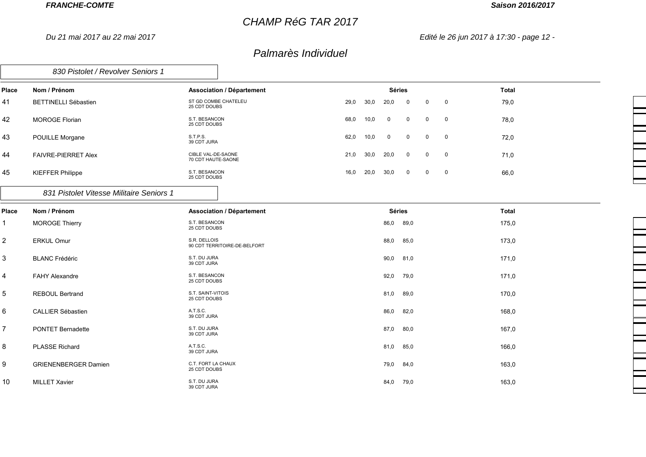*Du 21 mai 2017 au 22 mai 2017*

## *CHAMP RéG TAR 2017*

#### *Saison 2016/2017*

F

*Edité le 26 jun 2017 à 17:30 - page 12 -*

| 830 Pistolet / Revolver Seniors 1 |  |
|-----------------------------------|--|
|-----------------------------------|--|

| Place | Nom / Prénom                             | <b>Association / Département</b>         |      |      | <b>Séries</b>  |                |                |                         | <b>Total</b> |
|-------|------------------------------------------|------------------------------------------|------|------|----------------|----------------|----------------|-------------------------|--------------|
| 41    | <b>BETTINELLI Sébastien</b>              | ST GD COMBE CHATELEU<br>25 CDT DOUBS     | 29,0 | 30,0 | 20,0           | $\mathbf{0}$   | $\mathbf 0$    | $\overline{\mathbf{0}}$ | 79,0         |
| 42    | <b>MOROGE Florian</b>                    | S.T. BESANCON<br>25 CDT DOUBS            | 68,0 | 10,0 | $\overline{0}$ | $\overline{0}$ | $\overline{0}$ | $\overline{\mathbf{0}}$ | 78,0         |
| 43    | POUILLE Morgane                          | S.T.P.S.<br>39 CDT JURA                  | 62,0 | 10,0 | $\overline{0}$ | $\overline{0}$ | $0\qquad 0$    |                         | 72,0         |
| 44    | <b>FAIVRE-PIERRET Alex</b>               | CIBLE VAL-DE-SAONE<br>70 CDT HAUTE-SAONE | 21,0 | 30,0 | 20,0           | $\overline{0}$ | $\mathbf{0}$   | $\overline{\mathbf{0}}$ | 71,0         |
| 45    | <b>KIEFFER Philippe</b>                  | S.T. BESANCON<br>25 CDT DOUBS            | 16,0 | 20,0 | 30,0           | $\mathbf{0}$   | $\mathbf{0}$   | $\overline{\mathbf{0}}$ | 66,0         |
|       | 831 Pistolet Vitesse Militaire Seniors 1 |                                          |      |      |                |                |                |                         |              |

| Place          | Nom / Prénom                | <b>Association / Département</b>             | <b>Séries</b> | <b>Total</b> |
|----------------|-----------------------------|----------------------------------------------|---------------|--------------|
| $\mathbf{1}$   | <b>MOROGE Thierry</b>       | S.T. BESANCON<br>25 CDT DOUBS                | 86,0<br>89,0  | 175,0        |
| $\overline{2}$ | <b>ERKUL Omur</b>           | S.R. DELLOIS<br>90 CDT TERRITOIRE-DE-BELFORT | 88,0<br>85,0  | 173,0        |
| $\sqrt{3}$     | <b>BLANC Frédéric</b>       | S.T. DU JURA<br>39 CDT JURA                  | 90,0<br>81,0  | 171,0        |
| $\overline{4}$ | <b>FAHY Alexandre</b>       | S.T. BESANCON<br>25 CDT DOUBS                | 92,0<br>79,0  | 171,0        |
| $\mathbf 5$    | <b>REBOUL Bertrand</b>      | S.T. SAINT-VITOIS<br>25 CDT DOUBS            | 81,0<br>89,0  | 170,0        |
| $\,6$          | <b>CALLIER Sébastien</b>    | A.T.S.C.<br>39 CDT JURA                      | 86,0<br>82,0  | 168,0        |
| $\overline{7}$ | <b>PONTET Bernadette</b>    | S.T. DU JURA<br>39 CDT JURA                  | 87,0<br>80,0  | 167,0        |
| 8              | <b>PLASSE Richard</b>       | A.T.S.C.<br>39 CDT JURA                      | 81,0<br>85,0  | 166,0        |
| 9              | <b>GRIENENBERGER Damien</b> | C.T. FORT LA CHAUX<br>25 CDT DOUBS           | 79,0<br>84,0  | 163,0        |
| 10             | <b>MILLET Xavier</b>        | S.T. DU JURA<br>39 CDT JURA                  | 84,0<br>79,0  | 163,0        |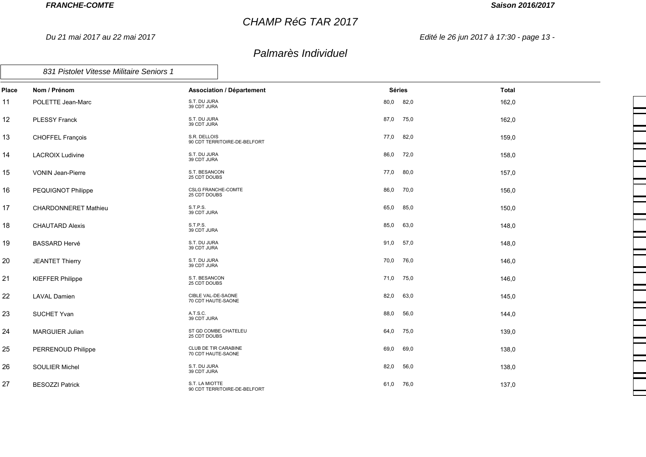*Du 21 mai 2017 au 22 mai 2017*

## *CHAMP RéG TAR 2017*

## *Saison 2016/2017*

*Edité le 26 jun 2017 à 17:30 - page 13 -*

| Place | Nom / Prénom                | <b>Association / Département</b>               | Séries       | Total |
|-------|-----------------------------|------------------------------------------------|--------------|-------|
| 11    | POLETTE Jean-Marc           | S.T. DU JURA<br>39 CDT JURA                    | 80,0<br>82,0 | 162,0 |
| 12    | <b>PLESSY Franck</b>        | S.T. DU JURA<br>39 CDT JURA                    | 87,0<br>75,0 | 162,0 |
| 13    | <b>CHOFFEL François</b>     | S.R. DELLOIS<br>90 CDT TERRITOIRE-DE-BELFORT   | 77,0<br>82,0 | 159,0 |
| 14    | <b>LACROIX Ludivine</b>     | S.T. DU JURA<br>39 CDT JURA                    | 86,0 72,0    | 158,0 |
| 15    | VONIN Jean-Pierre           | S.T. BESANCON<br>25 CDT DOUBS                  | 77,0<br>80,0 | 157,0 |
| 16    | PEQUIGNOT Philippe          | <b>CSLG FRANCHE-COMTE</b><br>25 CDT DOUBS      | 86,0<br>70,0 | 156,0 |
| 17    | <b>CHARDONNERET Mathieu</b> | S.T.P.S.<br>39 CDT JURA                        | 65,0<br>85,0 | 150,0 |
| 18    | <b>CHAUTARD Alexis</b>      | S.T.P.S.<br>39 CDT JURA                        | 85,0<br>63,0 | 148,0 |
| 19    | <b>BASSARD Hervé</b>        | S.T. DU JURA<br>39 CDT JURA                    | 91,0<br>57,0 | 148,0 |
| 20    | <b>JEANTET Thierry</b>      | S.T. DU JURA<br>39 CDT JURA                    | 70,0<br>76,0 | 146,0 |
| 21    | <b>KIEFFER Philippe</b>     | S.T. BESANCON<br>25 CDT DOUBS                  | 71,0<br>75,0 | 146,0 |
| 22    | <b>LAVAL Damien</b>         | CIBLE VAL-DE-SAONE<br>70 CDT HAUTE-SAONE       | 82,0<br>63,0 | 145,0 |
| 23    | <b>SUCHET Yvan</b>          | A.T.S.C.<br>39 CDT JURA                        | 88,0<br>56,0 | 144,0 |
| 24    | <b>MARGUIER Julian</b>      | ST GD COMBE CHATELEU<br>25 CDT DOUBS           | 64,0<br>75,0 | 139,0 |
| 25    | PERRENOUD Philippe          | CLUB DE TIR CARABINE<br>70 CDT HAUTE-SAONE     | 69,0<br>69,0 | 138,0 |
| 26    | <b>SOULIER Michel</b>       | S.T. DU JURA<br>39 CDT JURA                    | 82,0<br>56,0 | 138,0 |
| 27    | <b>BESOZZI Patrick</b>      | S.T. LA MIOTTE<br>90 CDT TERRITOIRE-DE-BELFORT | 61,0<br>76,0 | 137,0 |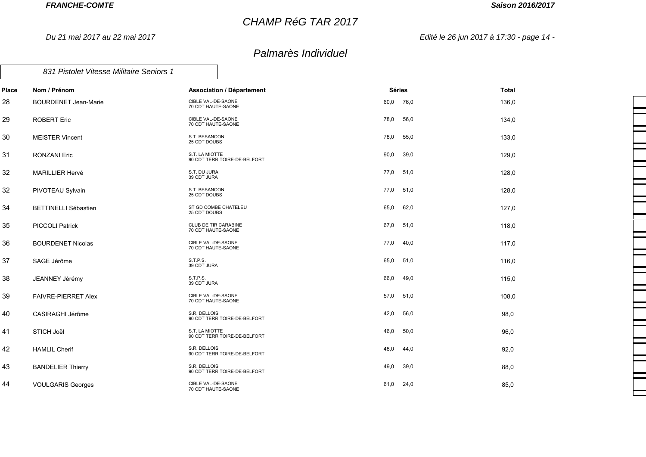*Du 21 mai 2017 au 22 mai 2017*

## *CHAMP RéG TAR 2017*

## *Saison 2016/2017*

*Edité le 26 jun 2017 à 17:30 - page 14 -*

| Place | Nom / Prénom                | <b>Association / Département</b>                  |      | <b>Séries</b> | <b>Total</b> |
|-------|-----------------------------|---------------------------------------------------|------|---------------|--------------|
| 28    | <b>BOURDENET Jean-Marie</b> | CIBLE VAL-DE-SAONE<br>70 CDT HAUTE-SAONE          | 60,0 | 76,0          | 136,0        |
| 29    | ROBERT Eric                 | CIBLE VAL-DE-SAONE<br>70 CDT HAUTE-SAONE          | 78,0 | 56,0          | 134,0        |
| 30    | <b>MEISTER Vincent</b>      | S.T. BESANCON<br>25 CDT DOUBS                     | 78,0 | 55,0          | 133,0        |
| 31    | <b>RONZANI Eric</b>         | S.T. LA MIOTTE<br>90 CDT TERRITOIRE-DE-BELFORT    | 90,0 | 39,0          | 129,0        |
| 32    | <b>MARILLIER Hervé</b>      | S.T. DU JURA<br>39 CDT JURA                       | 77,0 | 51,0          | 128,0        |
| 32    | PIVOTEAU Sylvain            | S.T. BESANCON<br>25 CDT DOUBS                     | 77,0 | 51,0          | 128,0        |
| 34    | <b>BETTINELLI Sébastien</b> | ST GD COMBE CHATELEU<br>25 CDT DOUBS              | 65,0 | 62,0          | 127,0        |
| 35    | <b>PICCOLI Patrick</b>      | <b>CLUB DE TIR CARABINE</b><br>70 CDT HAUTE-SAONE | 67,0 | 51,0          | 118,0        |
| 36    | <b>BOURDENET Nicolas</b>    | CIBLE VAL-DE-SAONE<br>70 CDT HAUTE-SAONE          | 77,0 | 40,0          | 117,0        |
| 37    | SAGE Jérôme                 | S.T.P.S.<br>39 CDT JURA                           | 65,0 | 51,0          | 116,0        |
| 38    | JEANNEY Jérémy              | S.T.P.S.<br>39 CDT JURA                           | 66,0 | 49,0          | 115,0        |
| 39    | FAIVRE-PIERRET Alex         | CIBLE VAL-DE-SAONE<br>70 CDT HAUTE-SAONE          | 57,0 | 51,0          | 108,0        |
| 40    | CASIRAGHI Jérôme            | S.R. DELLOIS<br>90 CDT TERRITOIRE-DE-BELFORT      | 42,0 | 56,0          | 98,0         |
| 41    | STICH Joël                  | S.T. LA MIOTTE<br>90 CDT TERRITOIRE-DE-BELFORT    | 46,0 | 50,0          | 96,0         |
| 42    | <b>HAMLIL Cherif</b>        | S.R. DELLOIS<br>90 CDT TERRITOIRE-DE-BELFORT      | 48,0 | 44,0          | 92,0         |
| 43    | <b>BANDELIER Thierry</b>    | S.R. DELLOIS<br>90 CDT TERRITOIRE-DE-BELFORT      | 49,0 | 39,0          | 88,0         |
| 44    | <b>VOULGARIS Georges</b>    | CIBLE VAL-DE-SAONE<br>70 CDT HAUTE-SAONE          | 61,0 | 24,0          | 85,0         |